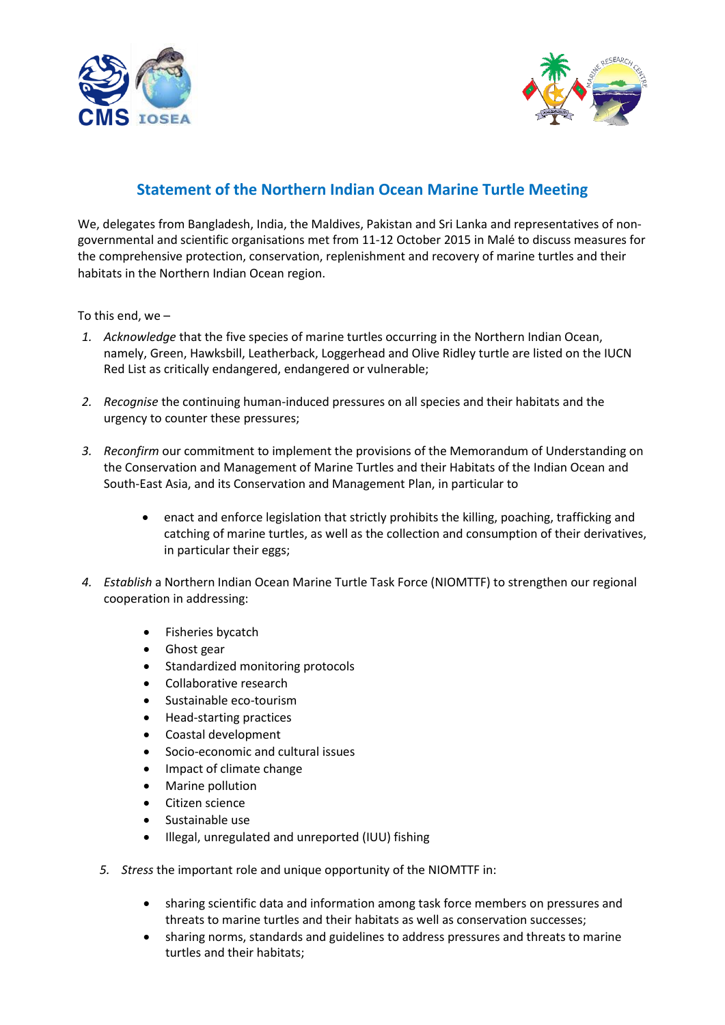



## **Statement of the Northern Indian Ocean Marine Turtle Meeting**

We, delegates from Bangladesh, India, the Maldives, Pakistan and Sri Lanka and representatives of nongovernmental and scientific organisations met from 11-12 October 2015 in Malé to discuss measures for the comprehensive protection, conservation, replenishment and recovery of marine turtles and their habitats in the Northern Indian Ocean region.

To this end, we –

- *1. Acknowledge* that the five species of marine turtles occurring in the Northern Indian Ocean, namely, Green, Hawksbill, Leatherback, Loggerhead and Olive Ridley turtle are listed on the IUCN Red List as critically endangered, endangered or vulnerable;
- *2. Recognise* the continuing human-induced pressures on all species and their habitats and the urgency to counter these pressures;
- *3. Reconfirm* our commitment to implement the provisions of the Memorandum of Understanding on the Conservation and Management of Marine Turtles and their Habitats of the Indian Ocean and South-East Asia, and its Conservation and Management Plan, in particular to
	- enact and enforce legislation that strictly prohibits the killing, poaching, trafficking and catching of marine turtles, as well as the collection and consumption of their derivatives, in particular their eggs;
- *4. Establish* a Northern Indian Ocean Marine Turtle Task Force (NIOMTTF) to strengthen our regional cooperation in addressing:
	- Fisheries bycatch
	- Ghost gear
	- Standardized monitoring protocols
	- Collaborative research
	- Sustainable eco-tourism
	- Head-starting practices
	- Coastal development
	- Socio-economic and cultural issues
	- Impact of climate change
	- Marine pollution
	- Citizen science
	- Sustainable use
	- Illegal, unregulated and unreported (IUU) fishing
	- *5. Stress* the important role and unique opportunity of the NIOMTTF in:
		- sharing scientific data and information among task force members on pressures and threats to marine turtles and their habitats as well as conservation successes;
		- sharing norms, standards and guidelines to address pressures and threats to marine turtles and their habitats;